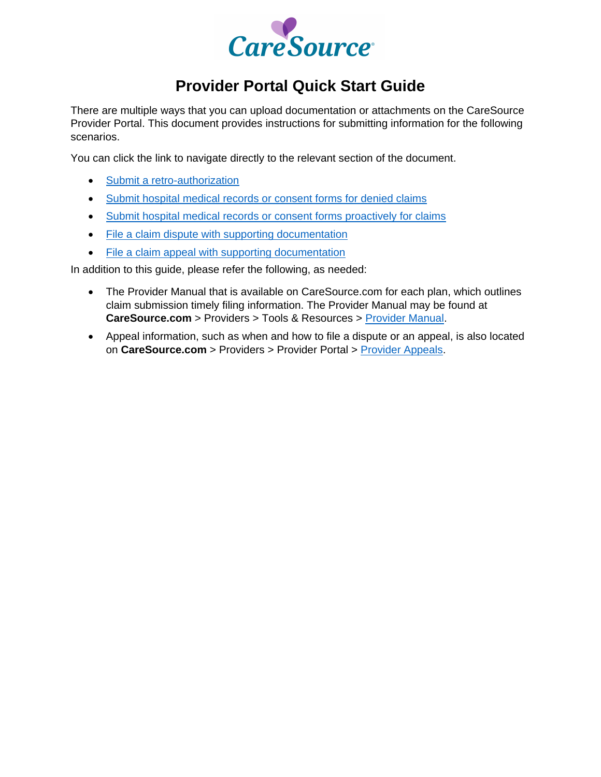

# **Provider Portal Quick Start Guide**

There are multiple ways that you can upload documentation or attachments on the CareSource Provider Portal. This document provides instructions for submitting information for the following scenarios.

You can click the link to navigate directly to the relevant section of the document.

- Submit a retro-authorization
- **Submit hospital medical records or consent forms for denied claims**
- Submit hospital medical records or consent forms proactively for claims
- File a claim dispute with supporting documentation
- File a claim appeal with supporting documentation

In addition to this guide, please refer the following, as needed:

- The Provider Manual that is available on CareSource.com for each plan, which outlines claim submission timely filing information. The Provider Manual may be found at **CareSource.com** > Providers > Tools & Resources > [Provider Manual.](https://www.caresource.com/providers/tools-resources/provider-manual/)
- Appeal information, such as when and how to file a dispute or an appeal, is also located on **CareSource.com** > Providers > Provider Portal > [Provider Appeals.](https://www.caresource.com/providers/provider-portal/appeals/)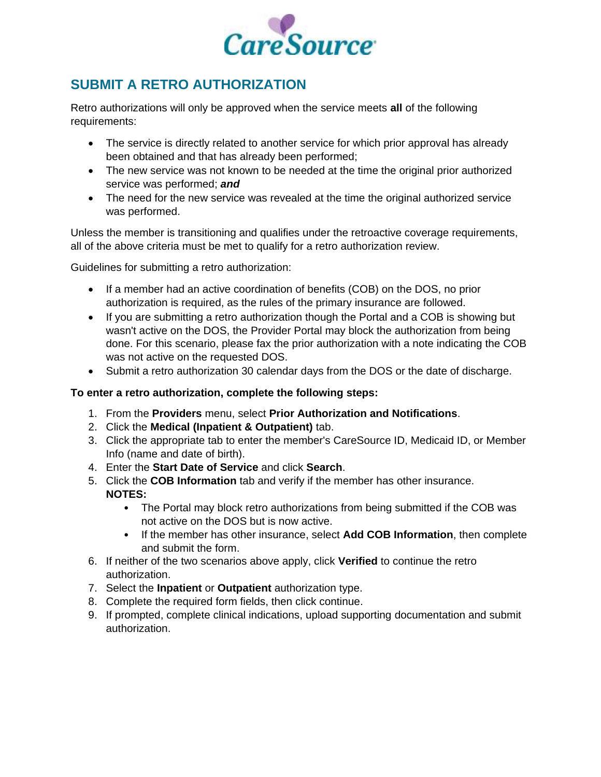

## **SUBMIT A RETRO AUTHORIZATION**

Retro authorizations will only be approved when the service meets **all** of the following requirements:

- The service is directly related to another service for which prior approval has already been obtained and that has already been performed;
- The new service was not known to be needed at the time the original prior authorized service was performed; *and*
- The need for the new service was revealed at the time the original authorized service was performed.

Unless the member is transitioning and qualifies under the retroactive coverage requirements, all of the above criteria must be met to qualify for a retro authorization review.

Guidelines for submitting a retro authorization:

- If a member had an active coordination of benefits (COB) on the DOS, no prior authorization is required, as the rules of the primary insurance are followed.
- If you are submitting a retro authorization though the Portal and a COB is showing but wasn't active on the DOS, the Provider Portal may block the authorization from being done. For this scenario, please fax the prior authorization with a note indicating the COB was not active on the requested DOS.
- Submit a retro authorization 30 calendar days from the DOS or the date of discharge.

### **To enter a retro authorization, complete the following steps:**

- 1. From the **Providers** menu, select **Prior Authorization and Notifications**.
- 2. Click the **Medical (Inpatient & Outpatient)** tab.
- 3. Click the appropriate tab to enter the member's CareSource ID, Medicaid ID, or Member Info (name and date of birth).
- 4. Enter the **Start Date of Service** and click **Search**.
- 5. Click the **COB Information** tab and verify if the member has other insurance. **NOTES:**
	- The Portal may block retro authorizations from being submitted if the COB was not active on the DOS but is now active.
	- If the member has other insurance, select **Add COB Information**, then complete and submit the form.
- 6. If neither of the two scenarios above apply, click **Verified** to continue the retro authorization.
- 7. Select the **Inpatient** or **Outpatient** authorization type.
- 8. Complete the required form fields, then click continue.
- 9. If prompted, complete clinical indications, upload supporting documentation and submit authorization.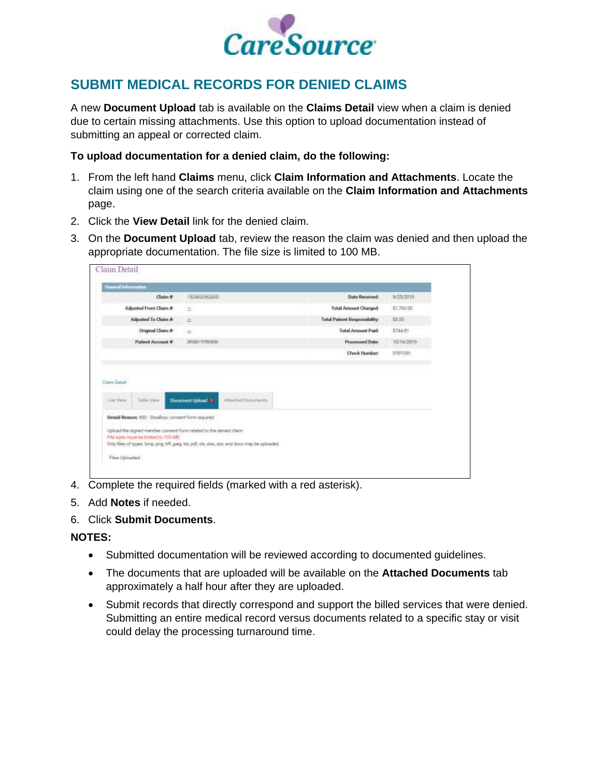

## **SUBMIT MEDICAL RECORDS FOR DENIED CLAIMS**

A new **Document Upload** tab is available on the **Claims Detail** view when a claim is denied due to certain missing attachments. Use this option to upload documentation instead of submitting an appeal or corrected claim.

#### **To upload documentation for a denied claim, do the following:**

- 1. From the left hand **Claims** menu, click **Claim Information and Attachments**. Locate the claim using one of the search criteria available on the **Claim Information and Attachments** page.
- 2. Click the **View Detail** link for the denied claim.
- 3. On the **Document Upload** tab, review the reason the claim was denied and then upload the appropriate documentation. The file size is limited to 100 MB.

| Claim #                                                                                                                                                                                         | HOMEHOOK                                                                       | Date Received:                | 9/25/2019      |
|-------------------------------------------------------------------------------------------------------------------------------------------------------------------------------------------------|--------------------------------------------------------------------------------|-------------------------------|----------------|
| Adjusted From Claim #                                                                                                                                                                           | $=$                                                                            | <b>Total Amount Charged:</b>  | \$1,760.00     |
| Adjusted To Claim #                                                                                                                                                                             | $\approx$                                                                      | Total Patient Responsibility. | \$0.00         |
| Original Claim #                                                                                                                                                                                | $=$                                                                            | <b>Total Amount Paid</b>      | \$744.81       |
| Patient Account #                                                                                                                                                                               | 武田介土型は存                                                                        | <b>Processed Date:</b>        | 10/16/2019     |
|                                                                                                                                                                                                 |                                                                                |                               |                |
| Cherri Detail                                                                                                                                                                                   |                                                                                | Check Number:                 | <b>PRODUCT</b> |
| Wallis -<br>Table View<br>Link Views<br><b>William</b><br>h mháil<br>Denial Reason: 850 - Disallow, consent form required<br>Upload the signed member consent form related to the denied claim. | Attached Documents<br><b>Document Upload #</b><br><b>Service Communication</b> |                               |                |

- 4. Complete the required fields (marked with a red asterisk).
- 5. Add **Notes** if needed.
- 6. Click **Submit Documents**.

#### **NOTES:**

- Submitted documentation will be reviewed according to documented guidelines.
- The documents that are uploaded will be available on the **Attached Documents** tab approximately a half hour after they are uploaded.
- Submit records that directly correspond and support the billed services that were denied. Submitting an entire medical record versus documents related to a specific stay or visit could delay the processing turnaround time.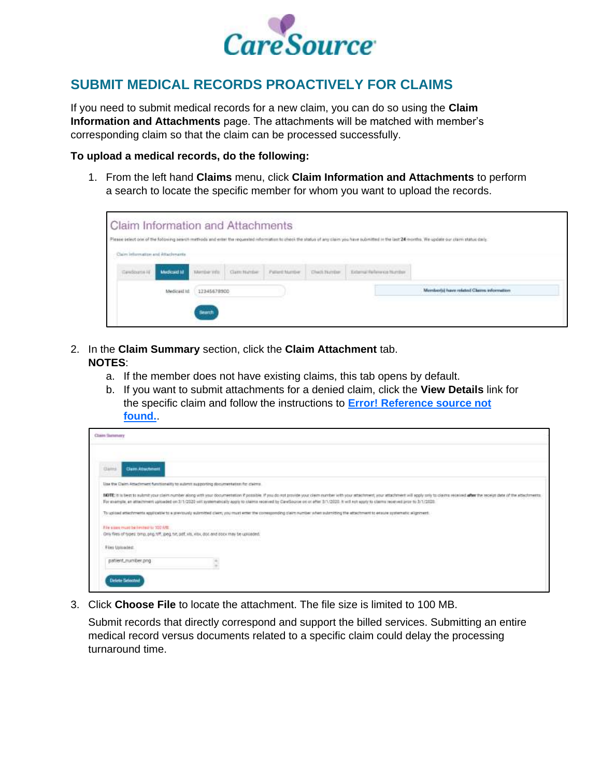

## **SUBMIT MEDICAL RECORDS PROACTIVELY FOR CLAIMS**

If you need to submit medical records for a new claim, you can do so using the **Claim Information and Attachments** page. The attachments will be matched with member's corresponding claim so that the claim can be processed successfully.

#### **To upload a medical records, do the following:**

1. From the left hand **Claims** menu, click **Claim Information and Attachments** to perform a search to locate the specific member for whom you want to upload the records.



- 2. In the **Claim Summary** section, click the **Claim Attachment** tab. **NOTES**:
	- a. If the member does not have existing claims, this tab opens by default.
	- b. If you want to submit attachments for a denied claim, click the **View Details** link for the specific claim and follow the instructions to **Error! Reference source not found.**.

| Class Summery                                                                                                                                                                                                                                                                                                                                                                                                                |  |
|------------------------------------------------------------------------------------------------------------------------------------------------------------------------------------------------------------------------------------------------------------------------------------------------------------------------------------------------------------------------------------------------------------------------------|--|
|                                                                                                                                                                                                                                                                                                                                                                                                                              |  |
| <b>Clarn Attachment</b><br>Classe                                                                                                                                                                                                                                                                                                                                                                                            |  |
| Lise the Claim Attachment functionality to submit supporting documentation for claims                                                                                                                                                                                                                                                                                                                                        |  |
| MOTE: it is best to submit your claim number along with your documentation if possible. If you do not provide your claim number with your attachment, your attachment will apply poly to claims received after the second afte<br>For strainists, an attachment uploaded on 3/1/2020 will systematically apply to claims received by CareSource on or other 3/1/2020. It will not apply to claims received prom to 3/1/2020. |  |
| To upload attachments applicable to a previously submitted clem; you must enter the consequencing cleim number when submitting the attachment to ensure systematic alignment.                                                                                                                                                                                                                                                |  |
| File sizes must be tented to 100 MB.<br>Only files of types' timp, pog, tiff, jpeg, tut, pdf, xis, xisx, dot, and occurring be upstaded.<br>2016 - 2017 - 1720 18:00 Andrej 2018 - 18:00 Andrej 2018 - 18:00 Andrej 2018 - 18:00 Andrej 2018 - 1                                                                                                                                                                             |  |
| Files Uploaded:                                                                                                                                                                                                                                                                                                                                                                                                              |  |
| patient_number.png<br>S.                                                                                                                                                                                                                                                                                                                                                                                                     |  |
| <b>Delete Selected</b>                                                                                                                                                                                                                                                                                                                                                                                                       |  |

3. Click **Choose File** to locate the attachment. The file size is limited to 100 MB.

Submit records that directly correspond and support the billed services. Submitting an entire medical record versus documents related to a specific claim could delay the processing turnaround time.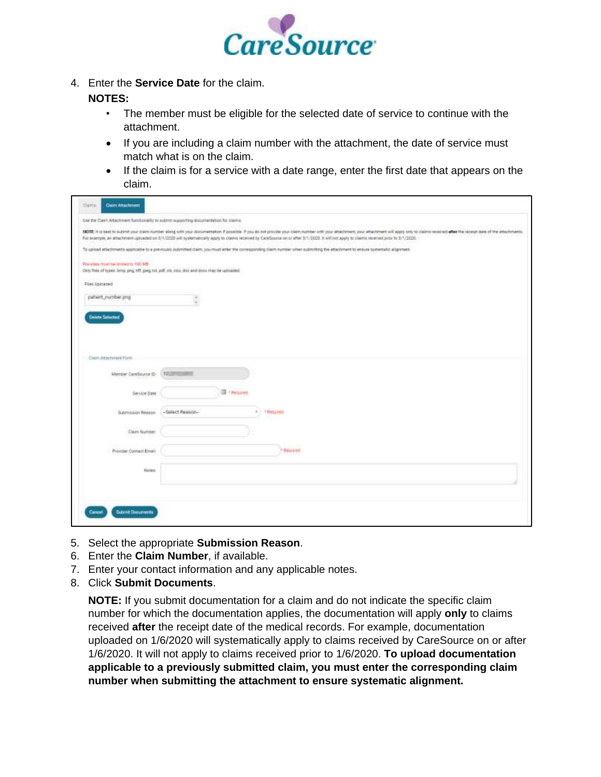

4. Enter the **Service Date** for the claim.

## **NOTES:**

- The member must be eligible for the selected date of service to continue with the attachment.
- If you are including a claim number with the attachment, the date of service must match what is on the claim.
- If the claim is for a service with a date range, enter the first date that appears on the claim.

|                                      | Use the Claim Attachment functionably to submit supporting documentation for starms.              | ROTE: It is bent to submit your claim number along with your documentation if positiole. If you do not provide your claim number with your attachment, your attachment will equip only to claims received after the receipt da |
|--------------------------------------|---------------------------------------------------------------------------------------------------|--------------------------------------------------------------------------------------------------------------------------------------------------------------------------------------------------------------------------------|
|                                      |                                                                                                   | For example, an attachment uploaded on 3/1/2020 will systematically apply to claims received by CareScurce on or after 3/1/2020. It will not apply to claims received prior to 3/1/2020.                                       |
|                                      |                                                                                                   | To upload attachments applicable to a previously submitted claim, you must enter the conseponding claim number when submitting the attachment to enture systematic alignment.                                                  |
| File attes must be lemied to 100 MB. |                                                                                                   |                                                                                                                                                                                                                                |
|                                      | Only fires of types: larra, sing, 1ff, joeg, txt, pilf, xis, xiss, doc and dock risy be uploaded. |                                                                                                                                                                                                                                |
| Fire Uploaded:                       |                                                                                                   |                                                                                                                                                                                                                                |
| patient_number.png                   |                                                                                                   |                                                                                                                                                                                                                                |
|                                      |                                                                                                   |                                                                                                                                                                                                                                |
| <b>Delete Selected</b>               |                                                                                                   |                                                                                                                                                                                                                                |
|                                      |                                                                                                   |                                                                                                                                                                                                                                |
|                                      |                                                                                                   |                                                                                                                                                                                                                                |
|                                      |                                                                                                   |                                                                                                                                                                                                                                |
| Cisim Attachment Form                |                                                                                                   |                                                                                                                                                                                                                                |
|                                      |                                                                                                   |                                                                                                                                                                                                                                |
| Member CareSource ID                 | TOUR HOME                                                                                         |                                                                                                                                                                                                                                |
| Service Date                         | Fill + Pelpared:                                                                                  |                                                                                                                                                                                                                                |
|                                      |                                                                                                   |                                                                                                                                                                                                                                |
| Submission Reason                    | -Select Reason-                                                                                   | - + Required                                                                                                                                                                                                                   |
|                                      |                                                                                                   |                                                                                                                                                                                                                                |
| Clairy Number                        |                                                                                                   |                                                                                                                                                                                                                                |
| Provider Contact Email:              |                                                                                                   | " Nation ed.                                                                                                                                                                                                                   |
|                                      |                                                                                                   |                                                                                                                                                                                                                                |
| <b>Homes</b>                         |                                                                                                   |                                                                                                                                                                                                                                |

- 5. Select the appropriate **Submission Reason**.
- 6. Enter the **Claim Number**, if available.
- 7. Enter your contact information and any applicable notes.
- 8. Click **Submit Documents**.

**NOTE:** If you submit documentation for a claim and do not indicate the specific claim number for which the documentation applies, the documentation will apply **only** to claims received **after** the receipt date of the medical records. For example, documentation uploaded on 1/6/2020 will systematically apply to claims received by CareSource on or after 1/6/2020. It will not apply to claims received prior to 1/6/2020. **To upload documentation applicable to a previously submitted claim, you must enter the corresponding claim number when submitting the attachment to ensure systematic alignment.**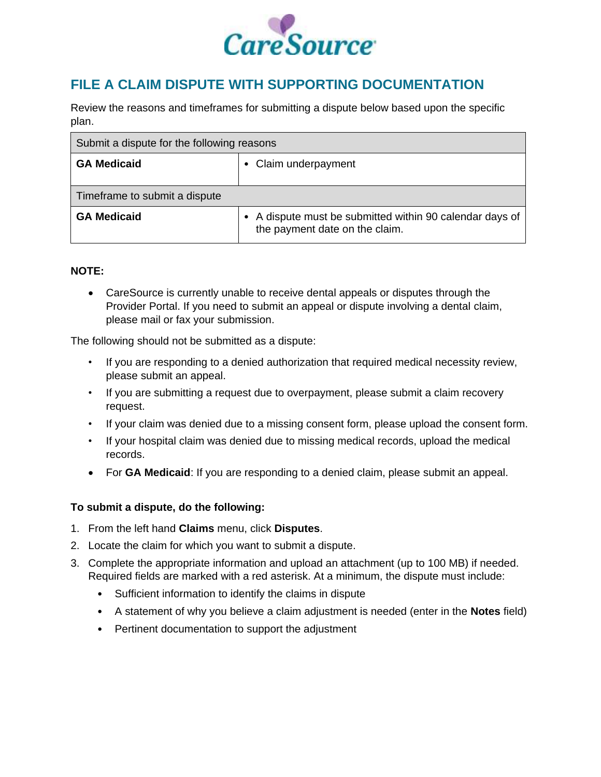

## **FILE A CLAIM DISPUTE WITH SUPPORTING DOCUMENTATION**

Review the reasons and timeframes for submitting a dispute below based upon the specific plan.

| Submit a dispute for the following reasons |                                                                                          |
|--------------------------------------------|------------------------------------------------------------------------------------------|
| <b>GA Medicaid</b>                         | Claim underpayment                                                                       |
| Timeframe to submit a dispute              |                                                                                          |
| <b>GA Medicaid</b>                         | A dispute must be submitted within 90 calendar days of<br>the payment date on the claim. |

### **NOTE:**

 CareSource is currently unable to receive dental appeals or disputes through the Provider Portal. If you need to submit an appeal or dispute involving a dental claim, please mail or fax your submission.

The following should not be submitted as a dispute:

- If you are responding to a denied authorization that required medical necessity review, please submit an appeal.
- If you are submitting a request due to overpayment, please submit a claim recovery request.
- If your claim was denied due to a missing consent form, please upload the consent form.
- If your hospital claim was denied due to missing medical records, upload the medical records.
- For **GA Medicaid**: If you are responding to a denied claim, please submit an appeal.

### **To submit a dispute, do the following:**

- 1. From the left hand **Claims** menu, click **Disputes**.
- 2. Locate the claim for which you want to submit a dispute.
- 3. Complete the appropriate information and upload an attachment (up to 100 MB) if needed. Required fields are marked with a red asterisk. At a minimum, the dispute must include:
	- Sufficient information to identify the claims in dispute
	- A statement of why you believe a claim adjustment is needed (enter in the **Notes** field)
	- Pertinent documentation to support the adjustment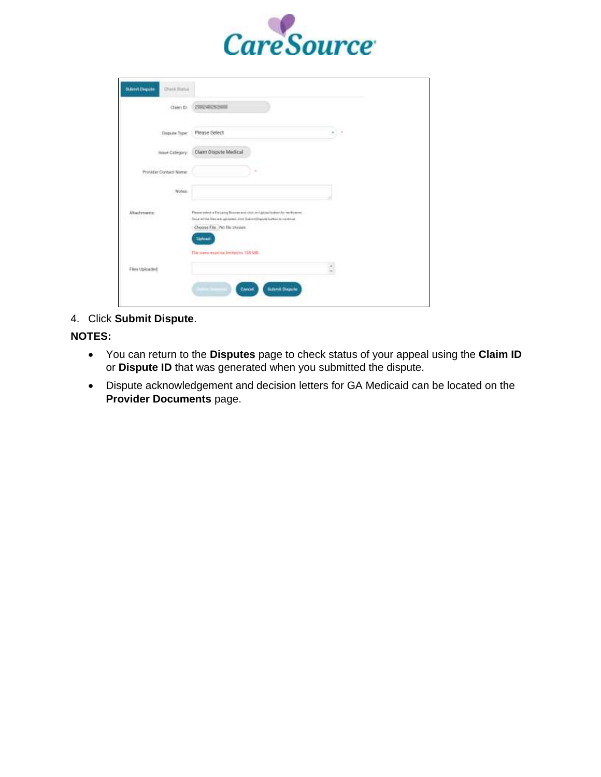

| Claim ID:              | 299240283000                                                                                                                                                                                                         |      |
|------------------------|----------------------------------------------------------------------------------------------------------------------------------------------------------------------------------------------------------------------|------|
| <b>Півриля Туре:</b>   | Please Select                                                                                                                                                                                                        | 57.5 |
| House Category:        | Claim Dispute Medical                                                                                                                                                                                                |      |
| Provider Contact Name: | ÷                                                                                                                                                                                                                    |      |
| Wohen:                 |                                                                                                                                                                                                                      |      |
| Attachments:           | Please select a file using Bisway and ston an Uphavi Sultan for verifications.<br>Drug all the files are uploated area Super-ED quote to the optimize<br>Choose File No ble closen:<br><b><i><u>19August</u></i></b> |      |
|                        | File spreamport in his team 100 Mill                                                                                                                                                                                 |      |
| Files Uploaded:        |                                                                                                                                                                                                                      |      |

4. Click **Submit Dispute**.

**NOTES:** 

- You can return to the **Disputes** page to check status of your appeal using the **Claim ID** or **Dispute ID** that was generated when you submitted the dispute.
- Dispute acknowledgement and decision letters for GA Medicaid can be located on the **Provider Documents** page.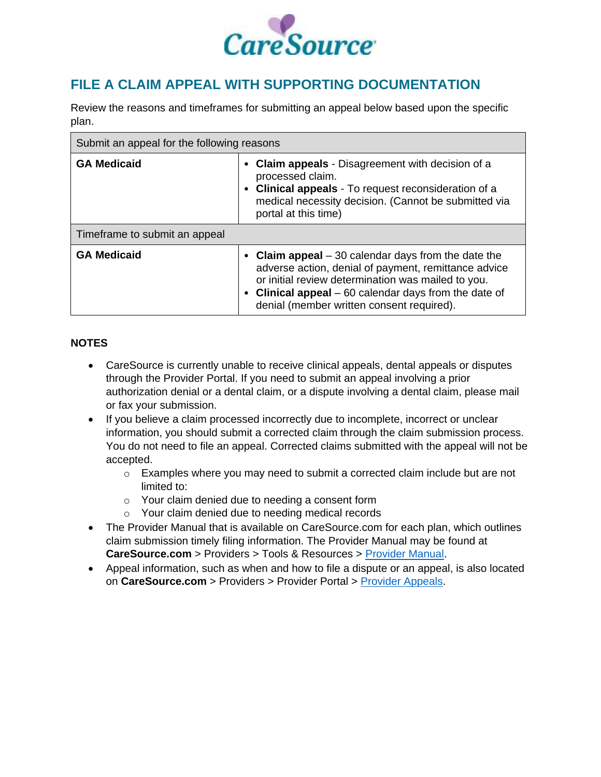

## **FILE A CLAIM APPEAL WITH SUPPORTING DOCUMENTATION**

Review the reasons and timeframes for submitting an appeal below based upon the specific plan.

| Submit an appeal for the following reasons |                                                                                                                                                                                                                                                                          |  |
|--------------------------------------------|--------------------------------------------------------------------------------------------------------------------------------------------------------------------------------------------------------------------------------------------------------------------------|--|
| <b>GA Medicaid</b>                         | <b>Claim appeals</b> - Disagreement with decision of a<br>processed claim.<br><b>Clinical appeals</b> - To request reconsideration of a<br>medical necessity decision. (Cannot be submitted via<br>portal at this time)                                                  |  |
| Timeframe to submit an appeal              |                                                                                                                                                                                                                                                                          |  |
| <b>GA Medicaid</b>                         | • Claim appeal $-30$ calendar days from the date the<br>adverse action, denial of payment, remittance advice<br>or initial review determination was mailed to you.<br>• Clinical appeal – 60 calendar days from the date of<br>denial (member written consent required). |  |

### **NOTES**

- CareSource is currently unable to receive clinical appeals, dental appeals or disputes through the Provider Portal. If you need to submit an appeal involving a prior authorization denial or a dental claim, or a dispute involving a dental claim, please mail or fax your submission.
- If you believe a claim processed incorrectly due to incomplete, incorrect or unclear information, you should submit a corrected claim through the claim submission process. You do not need to file an appeal. Corrected claims submitted with the appeal will not be accepted.
	- $\circ$  Examples where you may need to submit a corrected claim include but are not limited to:
	- o Your claim denied due to needing a consent form
	- o Your claim denied due to needing medical records
- The Provider Manual that is available on CareSource.com for each plan, which outlines claim submission timely filing information. The Provider Manual may be found at **CareSource.com** > Providers > Tools & Resources > [Provider Manual.](https://www.caresource.com/providers/tools-resources/provider-manual/)
- Appeal information, such as when and how to file a dispute or an appeal, is also located on **CareSource.com** > Providers > Provider Portal > [Provider Appeals.](https://www.caresource.com/providers/provider-portal/appeals/)